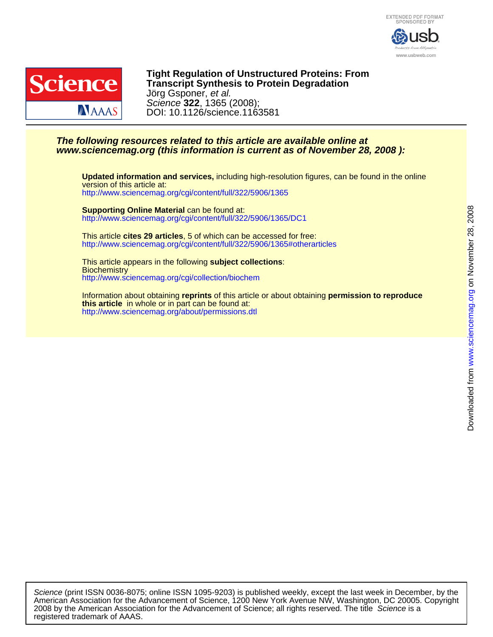



DOI: 10.1126/science.1163581 Science **322**, 1365 (2008); Jörg Gsponer, et al. **Transcript Synthesis to Protein Degradation Tight Regulation of Unstructured Proteins: From**

# **www.sciencemag.org (this information is current as of November 28, 2008 ): The following resources related to this article are available online at**

<http://www.sciencemag.org/cgi/content/full/322/5906/1365> version of this article at: **Updated information and services,** including high-resolution figures, can be found in the online

<http://www.sciencemag.org/cgi/content/full/322/5906/1365/DC1> **Supporting Online Material** can be found at:

<http://www.sciencemag.org/cgi/content/full/322/5906/1365#otherarticles> This article **cites 29 articles**, 5 of which can be accessed for free:

<http://www.sciencemag.org/cgi/collection/biochem> **Biochemistry** This article appears in the following **subject collections**:

<http://www.sciencemag.org/about/permissions.dtl> **this article** in whole or in part can be found at: Information about obtaining **reprints** of this article or about obtaining **permission to reproduce**

registered trademark of AAAS. 2008 by the American Association for the Advancement of Science; all rights reserved. The title Science is a American Association for the Advancement of Science, 1200 New York Avenue NW, Washington, DC 20005. Copyright Science (print ISSN 0036-8075; online ISSN 1095-9203) is published weekly, except the last week in December, by the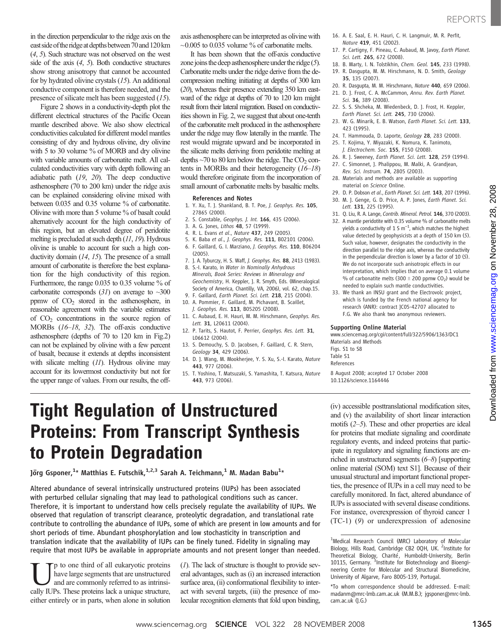in the direction perpendicular to the ridge axis on the east side of the ridge at depths between 70 and 120 km (4, 5). Such structure was not observed on the west side of the axis  $(4, 5)$ . Both conductive structures show strong anisotropy that cannot be accounted for by hydrated olivine crystals (15). An additional conductive component is therefore needed, and the presence of silicate melt has been suggested (15).

Figure 2 shows in a conductivity-depth plot the different electrical structures of the Pacific Ocean mantle described above. We also show electrical conductivities calculated for different model mantles consisting of dry and hydrous olivine, dry olivine with 5 to 30 volume % of MORB and dry olivine with variable amounts of carbonatite melt. All calculated conductivities vary with depth following an adiabatic path (19, 20). The deep conductive asthenosphere (70 to 200 km) under the ridge axis can be explained considering olivine mixed with between 0.035 and 0.35 volume % of carbonatite. Olivine with more than 5 volume % of basalt could alternatively account for the high conductivity of this region, but an elevated degree of peridotite melting is precluded at such depth (11, 19). Hydrous olivine is unable to account for such a high conductivity domain (14, 15). The presence of a small amount of carbonatite is therefore the best explanation for the high conductivity of this region. Furthermore, the range 0.035 to 0.35 volume % of carbonatite corresponds  $(31)$  on average to  $\sim 300$ ppmw of  $CO<sub>2</sub>$  stored in the asthenosphere, in reasonable agreement with the variable estimates of  $CO<sub>2</sub>$  concentrations in the source region of MORBs (16–18, 32). The off-axis conductive asthenosphere (depths of 70 to 120 km in Fig.2) can not be explained by olivine with a few percent of basalt, because it extends at depths inconsistent with silicate melting (11). Hydrous olivine may account for its lowermost conductivity but not for the upper range of values. From our results, the offaxis asthenosphere can be interpreted as olivine with  $\sim$ 0.005 to 0.035 volume % of carbonatite melts.

It has been shown that the off-axis conductive zone joins the deep asthenosphere under the ridge  $(5)$ . Carbonatite melts under the ridge derive from the decompression melting initiating at depths of 300 km (20), whereas their presence extending 350 km eastward of the ridge at depths of 70 to 120 km might result from their lateral migration. Based on conductivities shown in Fig. 2, we suggest that about one-tenth of the carbonatite melt produced in the asthenosphere under the ridge may flow laterally in the mantle. The rest would migrate upward and be incorporated in the silicate melts deriving from peridotite melting at depths  $\sim$ 70 to 80 km below the ridge. The CO<sub>2</sub> contents in MORBs and their heterogeneity (16–18) would therefore originate from the incorporation of small amount of carbonatite melts by basaltic melts.

### References and Notes

- 1. Y. Xu, T. J. Shankland, B. T. Poe, J. Geophys. Res. 105, 27865 (2000).
- 2. S. Constable, Geophys. J. Int. 166, 435 (2006).
- 3. A. G. Jones, Lithos 48, 57 (1999).
- 4. R. L. Evans et al., Nature 437, 249 (2005).
- 5. K. Baba et al., J. Geophys. Res. 111, B02101 (2006).
- 6. F. Gaillard, G. I. Marziano, J. Geophys. Res. 110, B06204 (2005). 7. J. A. Tyburczy, H. S. Waff, J. Geophys. Res. 88, 2413 (1983).
- 8. S.-I. Karato, in Water in Nominally Anhydrous Minerals, Book Series: Reviews in Mineralogy and Geochemistry, H. Keppler, J. R. Smyth, Eds. (Mineralogical Society of America, Chantilly, VA, 2006), vol. 62, chap.15.
- 9. F. Gaillard, Earth Planet. Sci. Lett. 218, 215 (2004). 10. A. Pommier, F. Gaillard, M. Pichavant, B. Scaillet,
- J. Geophys. Res. 113, B05205 (2008).
- 11. C. Aubaud, E. H. Hauri, M. M. Hirschmann, Geophys. Res. Lett. 31, L20611 (2004).
- 12. P. Tarits, S. Hautot, F. Perrier, Geophys. Res. Lett. 31, L06612 (2004).
- 13. S. Demouchy, S. D. Jacobsen, F. Gaillard, C. R. Stern, Geology 34, 429 (2006).
- 14. D. J. Wang, M. Mookherjee, Y. S. Xu, S.-I. Karato, Nature 443, 977 (2006).
- 15. T. Yoshino, T. Matsuzaki, S. Yamashita, T. Katsura, Nature 443, 973 (2006).
- 16. A. E. Saal, E. H. Hauri, C. H. Langmuir, M. R. Perfit, Nature 419, 451 (2002).
- 17. P. Cartigny, F. Pineau, C. Aubaud, M. Javoy, Earth Planet. Sci. Lett. 265, 672 (2008).
- 18. B. Marty, I. N. Tolstikhin, Chem. Geol. 145, 233 (1998).
- 19. R. Dasgupta, M. M. Hirschmann, N. D. Smith, Geology 35, 135 (2007).
- 20. R. Dasgupta, M. M. Hirschmann, Nature 440, 659 (2006).
- 21. D. J. Frost, C. A. McCammon, Annu. Rev. Earth Planet. Sci. 36, 389 (2008).
- 22. S. S. Shcheka, M. Wiedenbeck, D. J. Frost, H. Keppler, Earth Planet. Sci. Lett. 245, 730 (2006).
- 23. W. G. Minarik, E. B. Watson, Earth Planet. Sci. Lett. 133, 423 (1995).
- 24. T. Hammouda, D. Laporte, Geology 28, 283 (2000).
- 25. T. Kojima, Y. Miyazaki, K. Nomura, K. Tanimoto, J. Electrochem. Soc. 155, F150 (2008).
- 26. R. J. Sweeney, Earth Planet. Sci. Lett. 128, 259 (1994). 27. C. Simonnet, J. Phalippou, M. Malki, A. Grandjean,
- Rev. Sci. Instrum. 74, 2805 (2003). 28. Materials and methods are available as supporting
- material on Science Online.
- 29. D. P. Dobson et al., Earth Planet. Sci. Lett. 143, 207 (1996).
- 30. M. J. Genge, G. D. Price, A. P. Jones, Earth Planet. Sci. Lett. 131, 225 (1995).
- 31. Q. Liu, R. A. Lange, Contrib. Mineral. Petrol. 146, 370 (2003).
- 32. A mantle peridotite with 0.35 volume % of carbonatite melts yields a conductivity of  $1.5 \text{ m}^{-1}$ , which matches the highest value detected by geophysicists at a depth of 150 km (5). Such value, however, designates the conductivity in the direction parallel to the ridge axis, whereas the conductivity in the perpendicular direction is lower by a factor of 10 (5). We do not incorporate such anisotropic effects in our interpretation, which implies that on average 0.1 volume % of carbonatite melts (300  $\pm$  200 ppmw CO<sub>2</sub>) would be needed to explain such mantle conductivities.
- 33. We thank an INSU grant and the Electrovolc project, which is funded by the French national agency for research (ANR): contract JC05-42707 allocated to F.G. We also thank two anonymous reviewers.

### Supporting Online Material

www.sciencemag.org/cgi/content/full/322/5906/1363/DC1 Materials and Methods Figs. S1 to S8 Table S1 References

8 August 2008; accepted 17 October 2008 10.1126/science.1164446

Tight Regulation of Unstructured Proteins: From Transcript Synthesis to Protein Degradation

Jörg Gsponer, $^{1_\star}$  Matthias E. Futschik, $^{1,2,3}$  Sarah A. Teichmann, $^{1}$  M. Madan Babu $^{1_\star}$ 

Altered abundance of several intrinsically unstructured proteins (IUPs) has been associated with perturbed cellular signaling that may lead to pathological conditions such as cancer. Therefore, it is important to understand how cells precisely regulate the availability of IUPs. We observed that regulation of transcript clearance, proteolytic degradation, and translational rate contribute to controlling the abundance of IUPs, some of which are present in low amounts and for short periods of time. Abundant phosphorylation and low stochasticity in transcription and translation indicate that the availability of IUPs can be finely tuned. Fidelity in signaling may require that most IUPs be available in appropriate amounts and not present longer than needed.

p to one third of all eukaryotic proteins have large segments that are unstructured and are commonly referred to as intrinsically IUPs. These proteins lack a unique structure, either entirely or in parts, when alone in solution  $(1)$ . The lack of structure is thought to provide several advantages, such as (i) an increased interaction surface area, (ii) conformational flexibility to interact with several targets, (iii) the presence of molecular recognition elements that fold upon binding,

(iv) accessible posttranslational modification sites, and (v) the availability of short linear interaction motifs (2–5). These and other properties are ideal for proteins that mediate signaling and coordinate regulatory events, and indeed proteins that participate in regulatory and signaling functions are enriched in unstructured segments (6–8) [supporting online material (SOM) text S1]. Because of their unusual structural and important functional properties, the presence of IUPs in a cell may need to be carefully monitored. In fact, altered abundance of IUPs is associated with several disease conditions. For instance, overexpression of thyroid cancer 1 (TC-1) (9) or underexpression of adenosine

<sup>&</sup>lt;sup>1</sup>Medical Research Council (MRC) Laboratory of Molecular Biology, Hills Road, Cambridge CB2 0QH, UK. <sup>2</sup>Institute for Theoretical Biology, Charité, Humboldt-University, Berlin 10115, Germany. <sup>3</sup>Institute for Biotechnology and Bioengineering Centre for Molecular and Structural Biomedicine, University of Algarve, Faro 8005-139, Portugal.

<sup>\*</sup>To whom correspondence should be addressed. E-mail: madanm@mrc-lmb.cam.ac.uk (M.M.B.); jgsponer@mrc-lmb. cam.ac.uk (J.G.)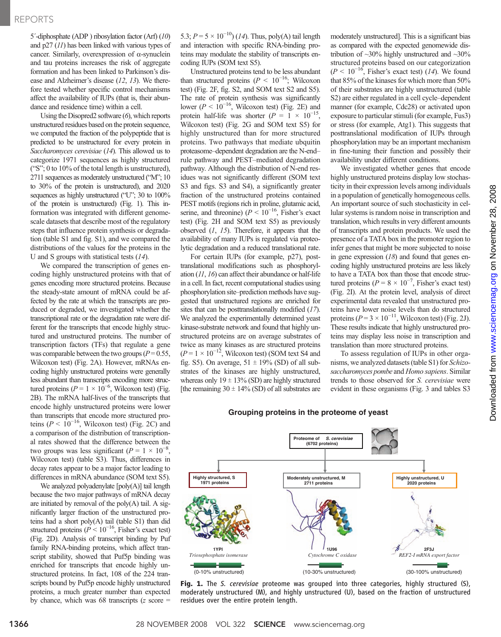## REPORTS

5´-diphosphate (ADP ) ribosylation factor (Arf) (10) and p27 (11) has been linked with various types of cancer. Similarly, overexpression of  $\alpha$ -synuclein and tau proteins increases the risk of aggregate formation and has been linked to Parkinson's disease and Alzheimer's disease (12, 13). We therefore tested whether specific control mechanisms affect the availability of IUPs (that is, their abundance and residence time) within a cell.

Using the Disopred2 software (6), which reports unstructured residues based on the protein sequence, we computed the fraction of the polypeptide that is predicted to be unstructured for every protein in Saccharomyces cerevisiae (14). This allowed us to categorize 1971 sequences as highly structured ("S"; 0 to 10% of the total length is unstructured), 2711 sequences as moderately unstructured ("M"; 10 to 30% of the protein is unstructured), and 2020 sequences as highly unstructured ("U"; 30 to 100% of the protein is unstructured) (Fig. 1). This information was integrated with different genomescale datasets that describe most of the regulatory steps that influence protein synthesis or degradation (table S1 and fig. S1), and we compared the distributions of the values for the proteins in the U and S groups with statistical tests (14).

We compared the transcription of genes encoding highly unstructured proteins with that of genes encoding more structured proteins. Because the steady-state amount of mRNA could be affected by the rate at which the transcripts are produced or degraded, we investigated whether the transcriptional rate or the degradation rate were different for the transcripts that encode highly structured and unstructured proteins. The number of transcription factors (TFs) that regulate a gene was comparable between the two groups ( $P = 0.55$ , Wilcoxon test) (Fig. 2A). However, mRNAs encoding highly unstructured proteins were generally less abundant than transcripts encoding more structured proteins ( $P = 1 \times 10^{-6}$ , Wilcoxon test) (Fig. 2B). The mRNA half-lives of the transcripts that encode highly unstructured proteins were lower than transcripts that encode more structured proteins ( $P < 10^{-16}$ , Wilcoxon test) (Fig. 2C) and a comparison of the distribution of transcriptional rates showed that the difference between the two groups was less significant ( $P = 1 \times 10^{-8}$ , Wilcoxon test) (table S3). Thus, differences in decay rates appear to be a major factor leading to differences in mRNA abundance (SOM text S5).

We analyzed polyadenylate [poly(A)] tail length because the two major pathways of mRNA decay are initiated by removal of the poly(A) tail. A significantly larger fraction of the unstructured proteins had a short poly(A) tail (table S1) than did structured proteins ( $P < 10^{-16}$ , Fisher's exact test) (Fig. 2D). Analysis of transcript binding by Puf family RNA-binding proteins, which affect transcript stability, showed that Puf5p binding was enriched for transcripts that encode highly unstructured proteins. In fact, 108 of the 224 transcripts bound by Puf5p encode highly unstructured proteins, a much greater number than expected by chance, which was 68 transcripts  $(z \text{ score} =$ 

5.3;  $P = 5 \times 10^{-10}$ ) (14). Thus, poly(A) tail length and interaction with specific RNA-binding proteins may modulate the stability of transcripts encoding IUPs (SOM text S5).

Unstructured proteins tend to be less abundant than structured proteins ( $P \le 10^{-16}$ ; Wilcoxon test) (Fig. 2F, fig. S2, and SOM text S2 and S5). The rate of protein synthesis was significantly lower ( $P < 10^{-16}$ , Wilcoxon test) (Fig. 2E) and protein half-life was shorter ( $P = 1 \times 10^{-15}$ , Wilcoxon test) (Fig. 2G and SOM text S5) for highly unstructured than for more structured proteins. Two pathways that mediate ubquitin proteasome–dependent degradation are the N-end– rule pathway and PEST–mediated degradation pathway. Although the distribution of N-end residues was not significantly different (SOM text S3 and figs. S3 and S4), a significantly greater fraction of the unstructured proteins contained PEST motifs (regions rich in proline, glutamic acid, serine, and threonine) ( $P \le 10^{-16}$ , Fisher's exact test) (Fig. 2H and SOM text S5) as previously observed  $(1, 15)$ . Therefore, it appears that the availability of many IUPs is regulated via proteolytic degradation and a reduced translational rate.

For certain IUPs (for example, p27), posttranslational modifications such as phosphorylation (11, 16) can affect their abundance or half-life in a cell. In fact, recent computational studies using phosphorylation site–prediction methods have suggested that unstructured regions are enriched for sites that can be posttranslationally modified (17). We analyzed the experimentally determined yeast kinase-substrate network and found that highly unstructured proteins are on average substrates of twice as many kinases as are structured proteins  $(P = 1 \times 10^{-12}$ , Wilcoxon test) (SOM text S4 and fig. S5). On average,  $51 \pm 19\%$  (SD) of all substrates of the kinases are highly unstructured, whereas only  $19 \pm 13\%$  (SD) are highly structured [the remaining  $30 \pm 14\%$  (SD) of all substrates are

moderately unstructured]. This is a significant bias as compared with the expected genomewide distribution of ~30% highly unstructured and ~30% structured proteins based on our categorization  $(P < 10^{-16}$ , Fisher's exact test) (14). We found that 85% of the kinases for which more than 50% of their substrates are highly unstructured (table S2) are either regulated in a cell cycle–dependent manner (for example, Cdc28) or activated upon exposure to particular stimuli (for example, Fus3) or stress (for example, Atg1). This suggests that posttranslational modification of IUPs through phosphorylation may be an important mechanism in fine-tuning their function and possibly their availability under different conditions.

We investigated whether genes that encode highly unstructured proteins display low stochasticity in their expression levels among individuals in a population of genetically homogeneous cells. An important source of such stochasticity in cellular systems is random noise in transcription and translation, which results in very different amounts of transcripts and protein products. We used the presence of a TATA box in the promoter region to infer genes that might be more subjected to noise in gene expression  $(18)$  and found that genes encoding highly unstructured proteins are less likely to have a TATA box than those that encode structured proteins ( $P = 8 \times 10^{-7}$ , Fisher's exact test) (Fig. 2I). At the protein level, analysis of direct experimental data revealed that unstructured proteins have lower noise levels than do structured proteins ( $P = 3 \times 10^{-11}$ , Wilcoxon test) (Fig. 2J). These results indicate that highly unstructured proteins may display less noise in transcription and translation than more structured proteins.

To assess regulation of IUPs in other organisms, we analyzed datasets (table S1) for Schizosaccharomyces pombe and Homo sapiens. Similar trends to those observed for S. cerevisiae were evident in these organisms (Fig. 3 and tables S3

## **Grouping proteins in the proteome of yeast**



Fig. 1. The S. cerevisiae proteome was grouped into three categories, highly structured (S), moderately unstructured (M), and highly unstructured (U), based on the fraction of unstructured residues over the entire protein length.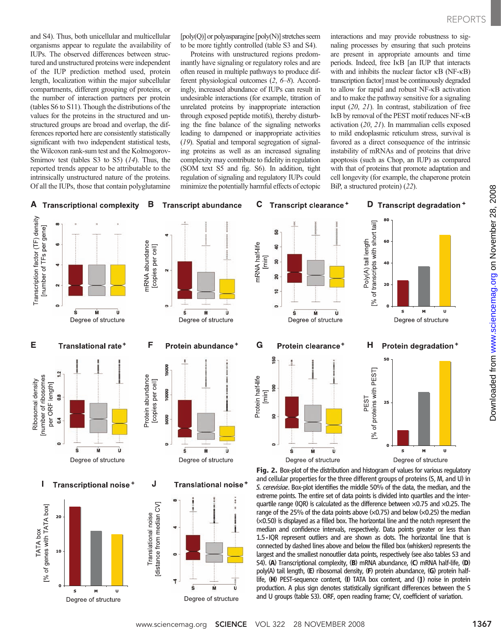and S4). Thus, both unicellular and multicellular organisms appear to regulate the availability of IUPs. The observed differences between structured and unstructured proteins were independent of the IUP prediction method used, protein length, localization within the major subcellular compartments, different grouping of proteins, or the number of interaction partners per protein (tables S6 to S11). Though the distributions of the values for the proteins in the structured and unstructured groups are broad and overlap, the differences reported here are consistently statistically significant with two independent statistical tests, the Wilcoxon rank-sum test and the Kolmogorov-Smirnov test (tables S3 to S5)  $(14)$ . Thus, the reported trends appear to be attributable to the intrinsically unstructured nature of the proteins. Of all the IUPs, those that contain polyglutamine

[poly(Q)] or polyasparagine [poly(N)] stretches seem to be more tightly controlled (table S3 and S4).

Proteins with unstructured regions predominantly have signaling or regulatory roles and are often reused in multiple pathways to produce different physiological outcomes (2, 6–8). Accordingly, increased abundance of IUPs can result in undesirable interactions (for example, titration of unrelated proteins by inappropriate interaction through exposed peptide motifs), thereby disturbing the fine balance of the signaling networks leading to dampened or inappropriate activities (19). Spatial and temporal segregation of signaling proteins as well as an increased signaling complexity may contribute to fidelity in regulation (SOM text S5 and fig. S6). In addition, tight regulation of signaling and regulatory IUPs could minimize the potentially harmful effects of ectopic

interactions and may provide robustness to signaling processes by ensuring that such proteins are present in appropriate amounts and time periods. Indeed, free IkB [an IUP that interacts with and inhibits the nuclear factor  $\kappa$ B (NF- $\kappa$ B) transcription factor] must be continuously degraded to allow for rapid and robust NF-kB activation and to make the pathway sensitive for a signaling input (20, 21). In contrast, stabilization of free IkB by removal of the PEST motif reduces NF-kB activation (20, 21). In mammalian cells exposed to mild endoplasmic reticulum stress, survival is favored as a direct consequence of the intrinsic instability of mRNAs and of proteins that drive apoptosis (such as Chop, an IUP) as compared with that of proteins that promote adaptation and cell longevity (for example, the chaperone protein BiP, a structured protein) (22).

#### A В **Transcriptional complexity**

### C **Transcript abundance** Transcript clearance<sup>+</sup>

### D Transcript degradation +

M

 $\mathbf{U}$